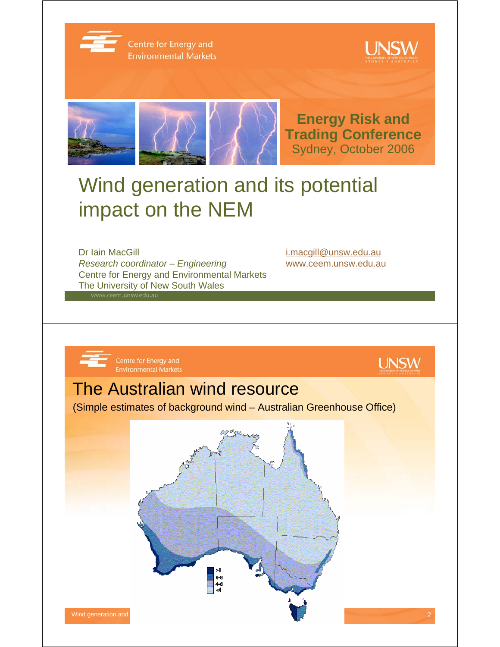

Centre for Energy and **Environmental Markets** 





# Wind generation and its potential impact on the NEM

Dr Iain MacGill in the control of the control of the i.macgill@unsw.edu.au *Research coordinator – Engineering* www.ceem.unsw.edu.au Centre for Energy and Environmental Markets The University of New South Wales

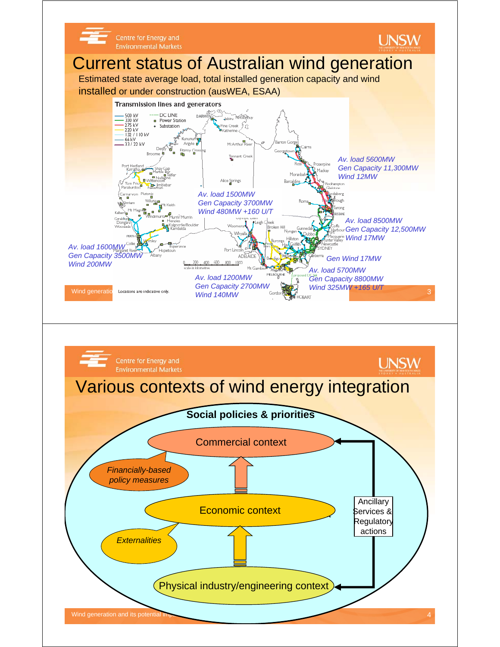

Wind generation and its potential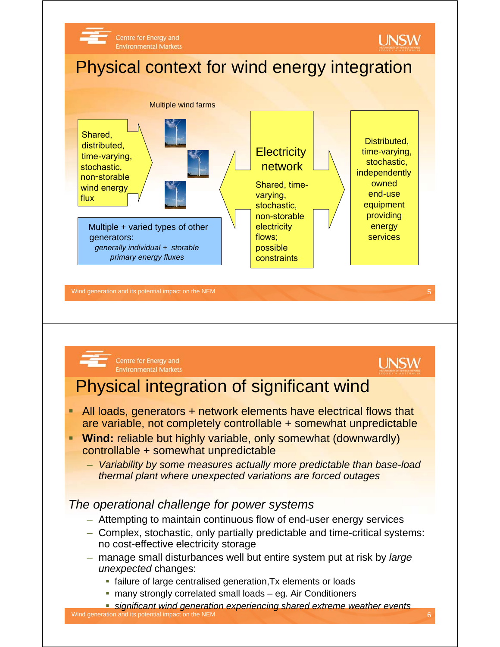



Centre for Energy and **Environmental Markets** 

## **UNSW**

### Physical integration of significant wind

- **All loads, generators + network elements have electrical flows that** are variable, not completely controllable + somewhat unpredictable
- **Wind:** reliable but highly variable, only somewhat (downwardly) controllable + somewhat unpredictable
	- *Variability by some measures actually more predictable than base-load thermal plant where unexpected variations are forced outages*

### *The operational challenge for power systems*

- Attempting to maintain continuous flow of end-user energy services
- Complex, stochastic, only partially predictable and time-critical systems: no cost-effective electricity storage
- manage small disturbances well but entire system put at risk by *large unexpected* changes:
	- **failure of large centralised generation, Tx elements or loads**
	- many strongly correlated small loads eg. Air Conditioners

Wind generation and its potential impact on the NEM 6 and the NEM 6 and the NEM 6 and the NEM 6 and the NEM 6 and the NEM 6 and the NEM 6 and the NEM 6 and the NEM 6 and the NEM 6 and the NEM 6 and the NEM 6 and the NEM 6 *significant wind generation experiencing shared extreme weather events*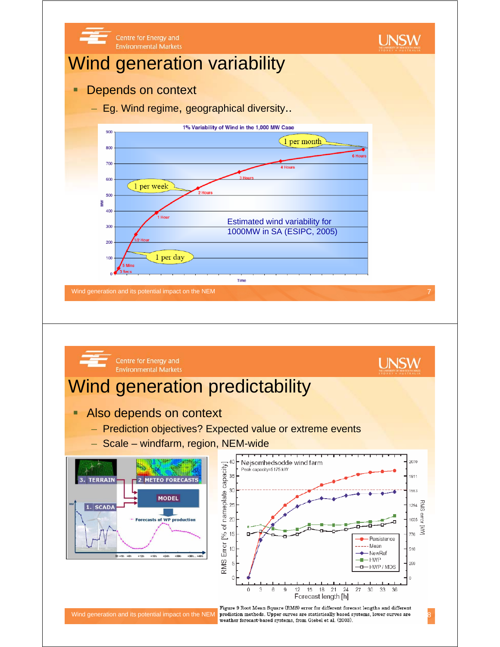

Wind generation and its potential impact on the NEM prediction methods. Upper curves are statistically based systems, lower curves are weather forecast based systems, from Giebel et al. (2003).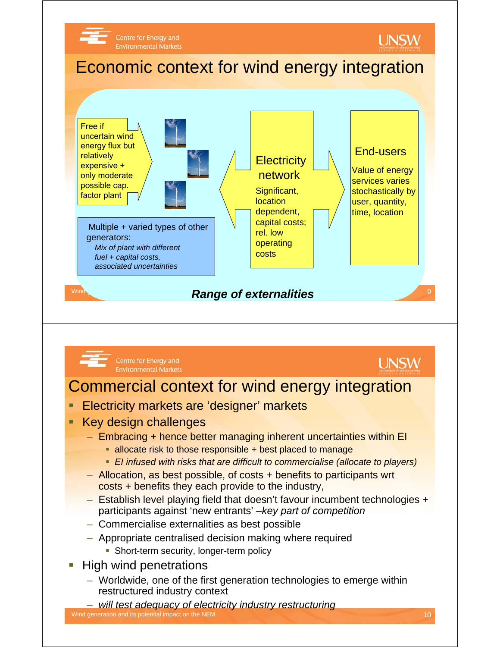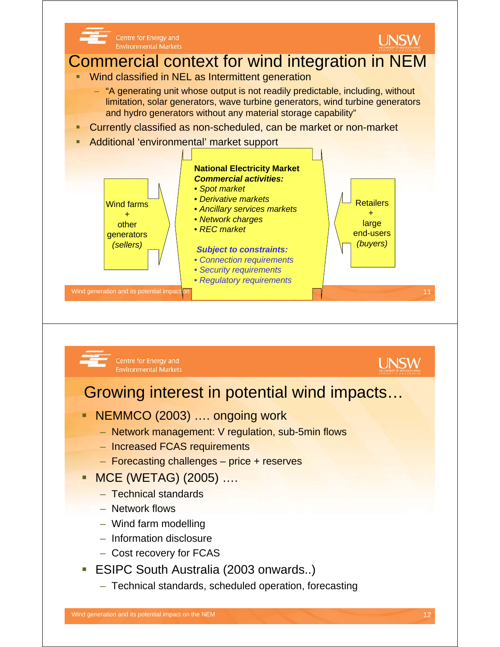

- Increased FCAS requirements
- Forecasting challenges price + reserves
- MCE (WETAG) (2005) ….
	- Technical standards
	- Network flows
	- Wind farm modelling
	- Information disclosure
	- Cost recovery for FCAS
- **ESIPC South Australia (2003 onwards..)** 
	- Technical standards, scheduled operation, forecasting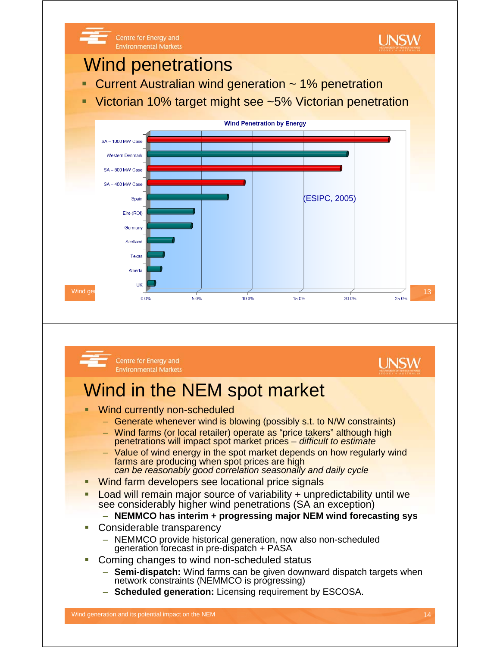

- Generate whenever wind is blowing (possibly s.t. to N/W constraints)
- Wind farms (or local retailer) operate as "price takers" although high penetrations will impact spot market prices – *difficult to estimate*
- Value of wind energy in the spot market depends on how regularly wind farms are producing when spot prices are high *can be reasonably good correlation seasonally and daily cycle*
- Wind farm developers see locational price signals
- Load will remain major source of variability + unpredictability until we see considerably higher wind penetrations (SA an exception)
	- **NEMMCO has interim + progressing major NEM wind forecasting sys**
- Considerable transparency
	- NEMMCO provide historical generation, now also non-scheduled generation forecast in pre-dispatch + PASA
- Coming changes to wind non-scheduled status
	- **Semi-dispatch:** Wind farms can be given downward dispatch targets when network constraints (NEMMCO is progressing)
	- **Scheduled generation:** Licensing requirement by ESCOSA.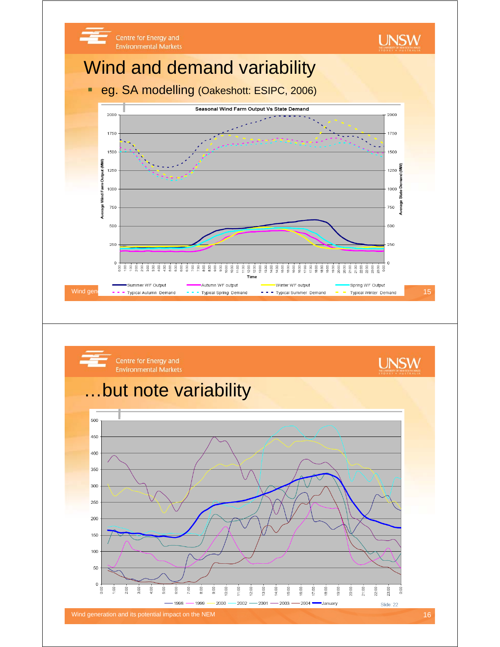

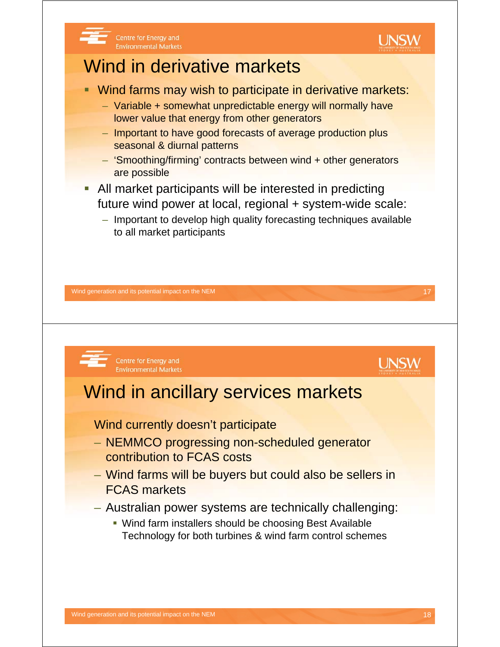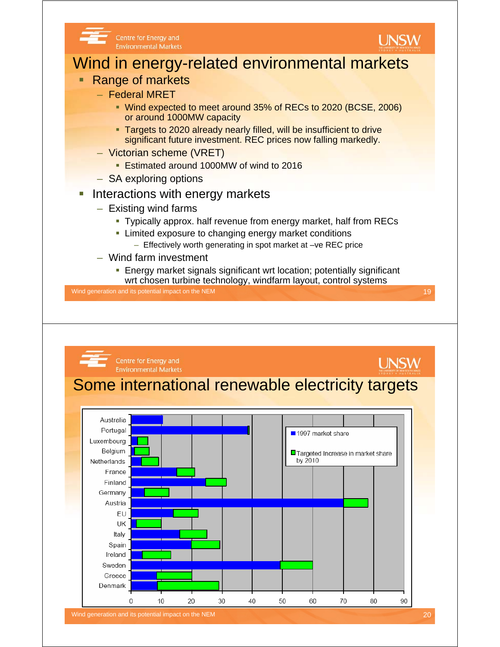